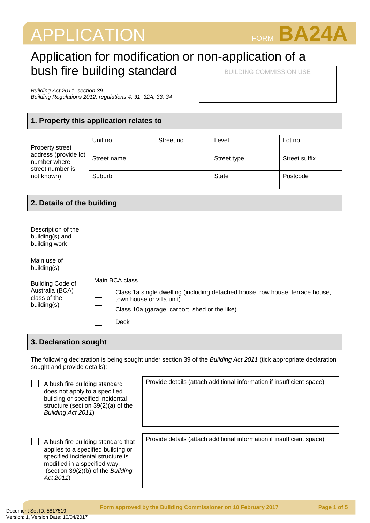# APPLICATION FORM **BA24A**



## Application for modification or non-application of a bush fire building standard BUILDING COMMISSION USE

*Building Act 2011, section 39*

*Building Regulations 2012, regulations 4, 31, 32A, 33, 34*

## **1. Property this application relates to**

| Property street<br>address (provide lot<br>number where<br>street number is<br>not known) | Unit no     | Street no | Level       | Lot no        |
|-------------------------------------------------------------------------------------------|-------------|-----------|-------------|---------------|
|                                                                                           | Street name |           | Street type | Street suffix |
|                                                                                           | Suburb      |           | State       | Postcode      |

## **2. Details of the building**

| Description of the<br>building(s) and<br>building work                    |                                                                                                                                                                                       |
|---------------------------------------------------------------------------|---------------------------------------------------------------------------------------------------------------------------------------------------------------------------------------|
| Main use of<br>building(s)                                                |                                                                                                                                                                                       |
| <b>Building Code of</b><br>Australia (BCA)<br>class of the<br>building(s) | Main BCA class<br>Class 1a single dwelling (including detached house, row house, terrace house,<br>town house or villa unit)<br>Class 10a (garage, carport, shed or the like)<br>Deck |

## **3. Declaration sought**

The following declaration is being sought under section 39 of the *Building Act 2011* (tick appropriate declaration sought and provide details):

| A bush fire building standard<br>does not apply to a specified<br>building or specified incidental<br>structure (section 39(2)(a) of the<br>Building Act 2011)                                  | Provide details (attach additional information if insufficient space) |
|-------------------------------------------------------------------------------------------------------------------------------------------------------------------------------------------------|-----------------------------------------------------------------------|
| A bush fire building standard that<br>applies to a specified building or<br>specified incidental structure is<br>modified in a specified way.<br>(section 39(2)(b) of the Building<br>Act 2011) | Provide details (attach additional information if insufficient space) |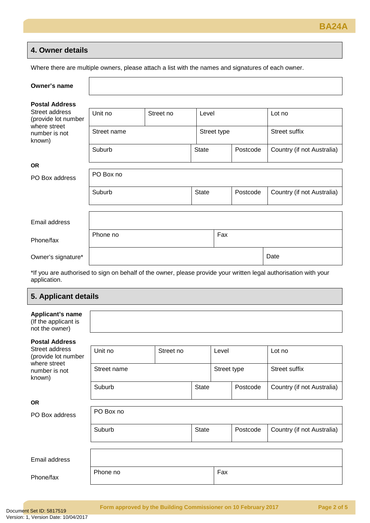## **4. Owner details**

Where there are multiple owners, please attach a list with the names and signatures of each owner.

| Owner's name                                          |             |           |              |             |          |                            |
|-------------------------------------------------------|-------------|-----------|--------------|-------------|----------|----------------------------|
| <b>Postal Address</b>                                 |             |           |              |             |          |                            |
| Street address<br>(provide lot number<br>where street | Unit no     | Street no | Level        |             |          | Lot no                     |
| number is not<br>known)                               | Street name |           |              | Street type |          | Street suffix              |
|                                                       | Suburb      |           | <b>State</b> |             | Postcode | Country (if not Australia) |
| <b>OR</b>                                             |             |           |              |             |          |                            |
| PO Box address                                        | PO Box no   |           |              |             |          |                            |
|                                                       | Suburb      |           | <b>State</b> |             | Postcode | Country (if not Australia) |
|                                                       |             |           |              |             |          |                            |
| Email address                                         |             |           |              |             |          |                            |
| Phone/fax                                             | Phone no    |           |              | Fax         |          |                            |
| Owner's signature*                                    |             |           |              |             |          | Date                       |

\*If you are authorised to sign on behalf of the owner, please provide your written legal authorisation with your application.

## **5. Applicant details**

| Applicant's name<br>(If the applicant is<br>not the owner)                       |             |           |              |             |          |                            |
|----------------------------------------------------------------------------------|-------------|-----------|--------------|-------------|----------|----------------------------|
| <b>Postal Address</b>                                                            |             |           |              |             |          |                            |
| Street address<br>(provide lot number<br>where street<br>number is not<br>known) | Unit no     | Street no |              | Level       |          | Lot no                     |
|                                                                                  | Street name |           |              | Street type |          | Street suffix              |
|                                                                                  | Suburb      |           | <b>State</b> |             | Postcode | Country (if not Australia) |
| <b>OR</b>                                                                        |             |           |              |             |          |                            |
| PO Box address                                                                   | PO Box no   |           |              |             |          |                            |
|                                                                                  | Suburb      |           | <b>State</b> |             | Postcode | Country (if not Australia) |
|                                                                                  |             |           |              |             |          |                            |
| Email address                                                                    |             |           |              |             |          |                            |

Phone/fax

Phone no Fax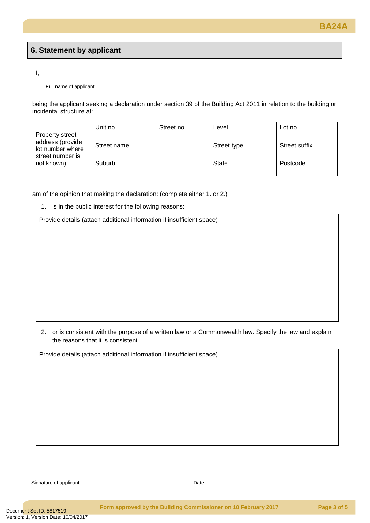## **6. Statement by applicant**

#### I,

Full name of applicant

being the applicant seeking a declaration under section 39 of the Building Act 2011 in relation to the building or incidental structure at:

Property street address (provide lot number where street number is not known)

| Unit no     | Street no | Level        | Lot no               |
|-------------|-----------|--------------|----------------------|
| Street name |           | Street type  | <b>Street suffix</b> |
| Suburb      |           | <b>State</b> | Postcode             |

am of the opinion that making the declaration: (complete either 1. or 2.)

1. is in the public interest for the following reasons:

Provide details (attach additional information if insufficient space)

2. or is consistent with the purpose of a written law or a Commonwealth law. Specify the law and explain the reasons that it is consistent.

Provide details (attach additional information if insufficient space)

Signature of applicant Date Date Date Date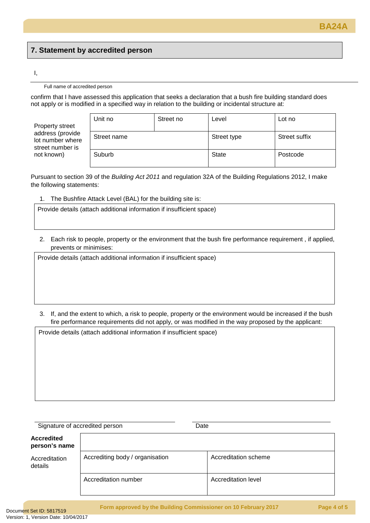## **7. Statement by accredited person**

#### I,

#### Full name of accredited person

confirm that I have assessed this application that seeks a declaration that a bush fire building standard does not apply or is modified in a specified way in relation to the building or incidental structure at:

Property street address (provide lot number where street number is not known)

| Unit no     | Street no | Level        | Lot no        |
|-------------|-----------|--------------|---------------|
| Street name |           | Street type  | Street suffix |
| Suburb      |           | <b>State</b> | Postcode      |

Pursuant to section 39 of the *Building Act 2011* and regulation 32A of the Building Regulations 2012, I make the following statements:

1. The Bushfire Attack Level (BAL) for the building site is:

Provide details (attach additional information if insufficient space)

2. Each risk to people, property or the environment that the bush fire performance requirement , if applied, prevents or minimises:

Provide details (attach additional information if insufficient space)

3. If, and the extent to which, a risk to people, property or the environment would be increased if the bush fire performance requirements did not apply, or was modified in the way proposed by the applicant:

Provide details (attach additional information if insufficient space)

Signature of accredited person **Date** Date

## **Accredited person's name** Accreditation details Accrediting body / organisation **Accreditation scheme** Accreditation number <br> Accreditation level